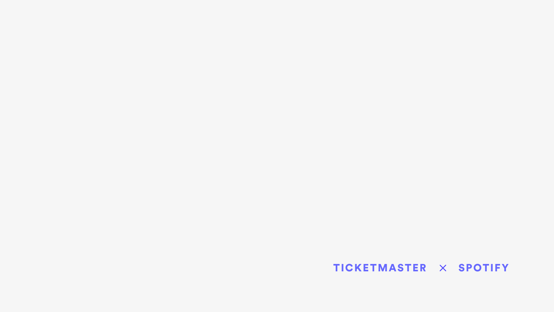### TICKETMASTER X SPOTIFY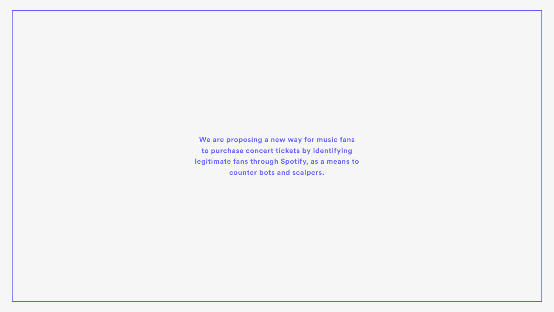**We are proposing a new way for music fans to purchase concert tickets by identifying legitimate fans through Spotify, as a means to counter bots and scalpers.**

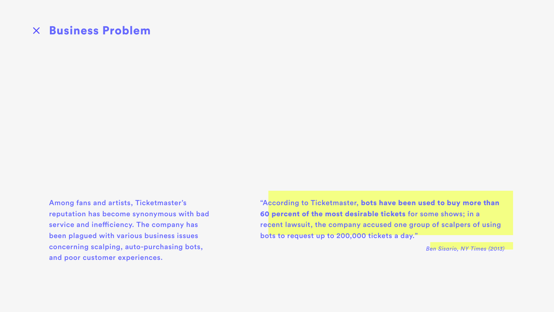### Business Problem

Among fans and artists, Ticketmaster's reputation has become synonymous with bad service and inefficiency. The company has been plagued with various business issues concerning scalping, auto-purchasing bots, and poor customer experiences.

"According to Ticketmaster, bots have been used to buy more than 60 percent of the most desirable tickets for some shows; in a recent lawsuit, the company accused one group of scalpers of using bots to request up to 200,000 tickets a day."

*Ben Sisario, NY Times (2013)*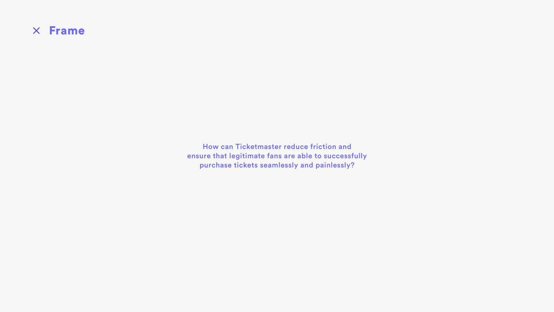

How can Ticketmaster reduce friction and ensure that legitimate fans are able to successfully purchase tickets seamlessly and painlessly?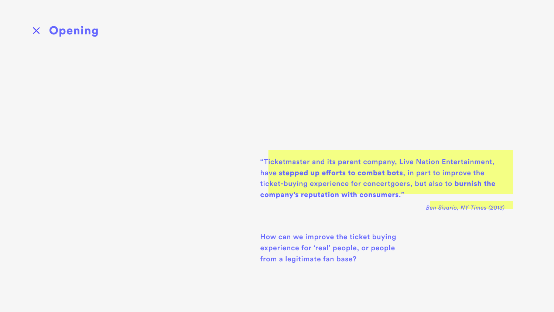

"Ticketmaster and its parent company, Live Nation Entertainment, have stepped up efforts to combat bots, in part to improve the ticket-buying experience for concertgoers, but also to burnish the company's reputation with consumers."

*Ben Sisario, NY Times (2013)*

How can we improve the ticket buying experience for 'real' people, or people from a legitimate fan base?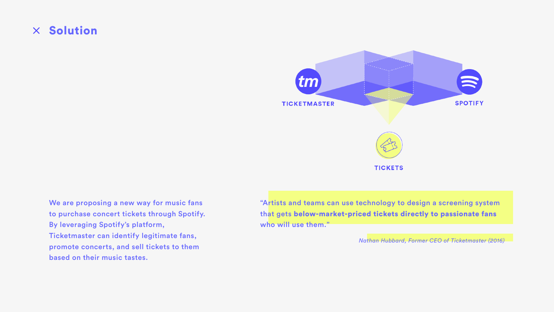"Artists and teams can use technology to design a screening system that gets below-market-priced tickets directly to passionate fans who will use them."

### $\times$  Solution

We are proposing a new way for music fans to purchase concert tickets through Spotify. By leveraging Spotify's platform, Ticketmaster can identify legitimate fans, promote concerts, and sell tickets to them based on their music tastes.



*Nathan Hubbard, Former CEO of Ticketmaster (2016)*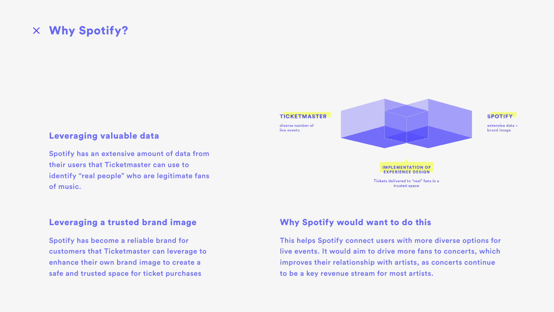### Why Spotify?

### Leveraging valuable data

Spotify has an extensive amount of data from their users that Ticketmaster can use to identify "real people" who are legitimate fans of music.

### Leveraging a trusted brand image

Spotify has become a reliable brand for customers that Ticketmaster can leverage to enhance their own brand image to create a safe and trusted space for ticket purchases



### Why Spotify would want to do this

This helps Spotify connect users with more diverse options for live events. It would aim to drive more fans to concerts, which improves their relationship with artists, as concerts continue to be a key revenue stream for most artists.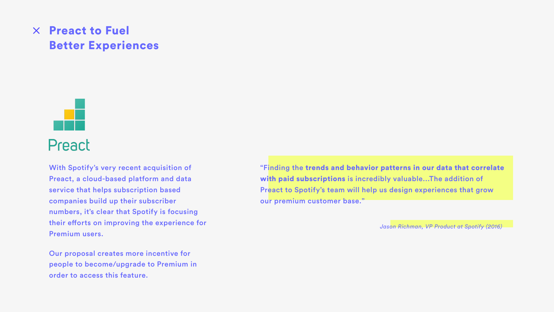# $\times$  Preact to Fuel Better Experiences



With Spotify's very recent acquisition of Preact, a cloud-based platform and data service that helps subscription based companies build up their subscriber numbers, it's clear that Spotify is focusing their efforts on improving the experience for Premium users.

Our proposal creates more incentive for people to become/upgrade to Premium in order to access this feature.

"Finding the trends and behavior patterns in our data that correlate with paid subscriptions is incredibly valuable...The addition of Preact to Spotify's team will help us design experiences that grow our premium customer base."

*Jason Richman, VP Product at Spotify (2016)*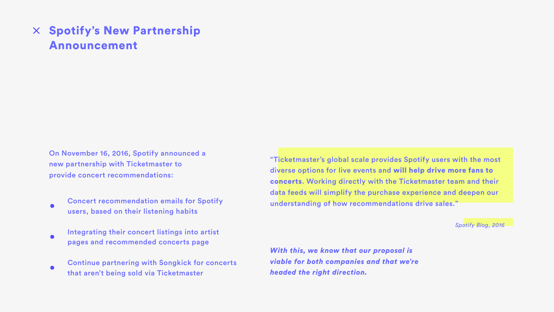# $\times$  Spotify's New Partnership Announcement

On November 16, 2016, Spotify announced a new partnership with Ticketmaster to provide concert recommendations:

- Concert recommendation emails for Spotify users, based on their listening habits
- Integrating their concert listings into artist pages and recommended concerts page
- Continue partnering with Songkick for concerts that aren't being sold via Ticketmaster

"Ticketmaster's global scale provides Spotify users with the most diverse options for live events and will help drive more fans to concerts. Working directly with the Ticketmaster team and their data feeds will simplify the purchase experience and deepen our understanding of how recommendations drive sales."

*Spotify Blog, 2016*

*With this, we know that our proposal is viable for both companies and that we're headed the right direction.*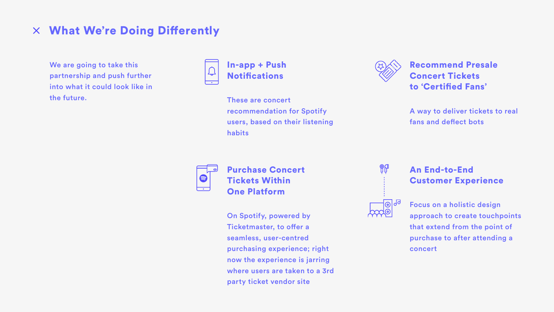### What We're Doing Diferently

# In-app + Push



habits



Recommend Presale

Concert Tickets

to 'Certifed Fans'

A way to deliver tickets to real fans and defect bots

# Purchase Concert



Tickets Within One Platform

We are going to take this partnership and push further into what it could look like in the future.



**Notifications** 

On Spotify, powered by Ticketmaster, to offer a seamless, user-centred purchasing experience; right now the experience is jarring where users are taken to a 3rd party ticket vendor site

### An End-to-End Customer Experience

Focus on a holistic design approach to create touchpoints that extend from the point of purchase to after attending a concert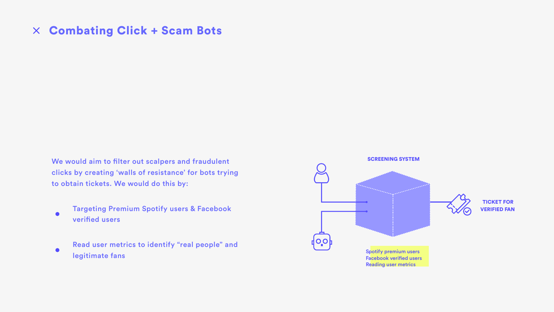# Combating Click + Scam Bots

We would aim to filter out scalpers and fraudulent clicks by creating 'walls of resistance' for bots trying to obtain tickets. We would do this by:

- Targeting Premium Spotify users & Facebook  $\bullet$ verifed users
- Read user metrics to identify "real people" and  $\bullet$ legitimate fans and the spotify premium users and the spotify premium users spotify premium users and the spotify premium users of  $\sim$

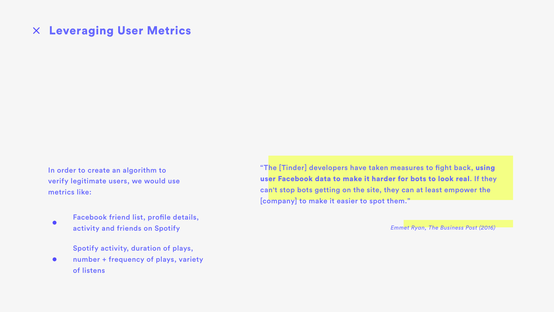# Leveraging User Metrics

Facebook friend list, profile details,  $\bullet$ activity and friends on Spotify

Spotify activity, duration of plays,

number + frequency of plays, variety  $\bullet$  and  $\bullet$ of listens

In order to create an algorithm to verify legitimate users, we would use metrics like:

"The [Tinder] developers have taken measures to fight back, using user Facebook data to make it harder for bots to look real. If they can't stop bots getting on the site, they can at least empower the [company] to make it easier to spot them."

*Emmet Ryan, The Business Post (2016)*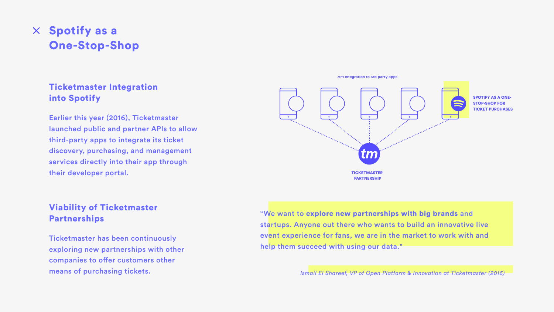# $\times$  Spotify as a One-Stop-Shop

### Ticketmaster Integration into Spotify

Earlier this year (2016), Ticketmaster launched public and partner APIs to allow third-party apps to integrate its ticket discovery, purchasing, and management services directly into their app through their developer portal.

### Viability of Ticketmaster Partnerships

Ticketmaster has been continuously exploring new partnerships with other companies to offer customers other means of purchasing tickets.

"We want to explore new partnerships with big brands and startups. Anyone out there who wants to build an innovative live event experience for fans, we are in the market to work with and help them succeed with using our data."

*Ismail El Shareef, VP of Open Platform & Innovation at Ticketmaster (2016)*



API integration to 3rd party apps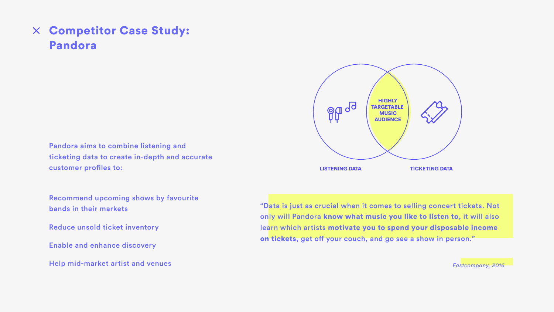### Competitor Case Study: Pandora

Pandora aims to combine listening and ticketing data to create in-depth and accurate customer profiles to:

> "Data is just as crucial when it comes to selling concert tickets. Not only will Pandora know what music you like to listen to, it will also learn which artists motivate you to spend your disposable income on tickets, get off your couch, and go see a show in person."

Recommend upcoming shows by favourite bands in their markets

Reduce unsold ticket inventory

Enable and enhance discovery

Help mid-market artist and venues

*Fastcompany, 2016*

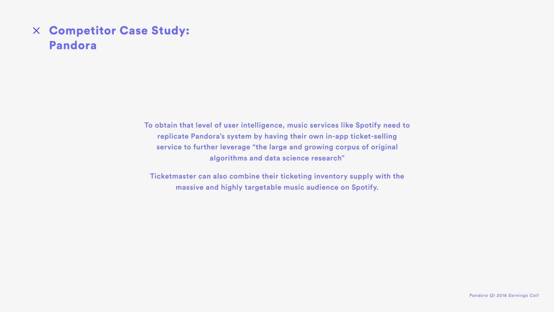# Competitor Case Study: Pandora

To obtain that level of user intelligence, music services like Spotify need to replicate Pandora's system by having their own in-app ticket-selling service to further leverage "the large and growing corpus of original algorithms and data science research"

Ticketmaster can also combine their ticketing inventory supply with the massive and highly targetable music audience on Spotify.

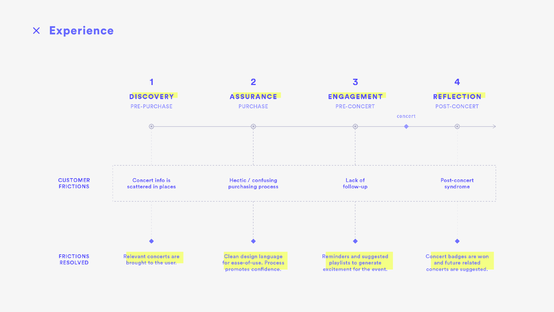